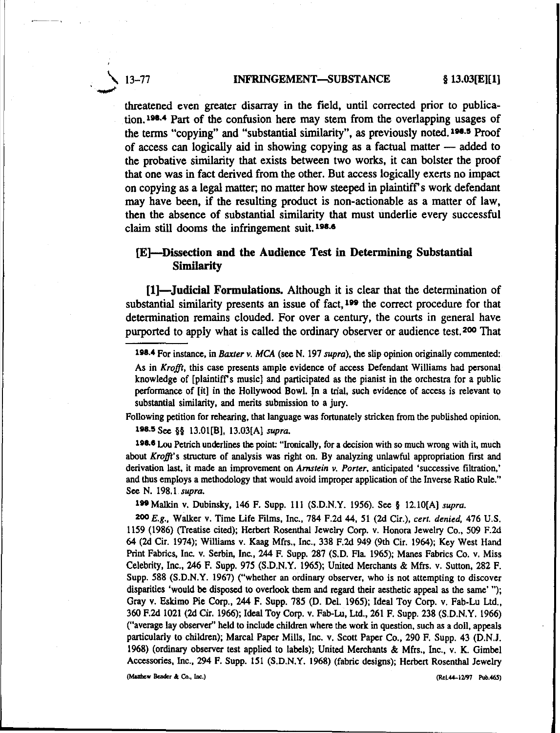#### \ 13-77 ..-' ~GEMENT-SUBSTANCE § 13.03[E][1]

threatened even greater disarray in the field, until corrected prior to publication.<sup>198.4</sup> Part of the confusion here may stem from the overlapping usages of the terms "copying" and "substantial similarity", as previously noted. 198.5 Proof of access can logically aid in showing copying as a factual matter - added to the probative similarity that exists between two works, it can bolster the proof that one was in fact derived from the other. But access logically exerts no impact on copying as a legal matter; no matter how steeped in plaintiffs work defendant may have been, if the resulting product is non-actionable as a matter of law, then the absence of substantial similarity that must underlie every successful claim still dooms the infringement suit.  $198.6$ 

# [E)-Dissection and the Audience Test in Determining Substantial Similarity

[1]-Judicial Formulations. Although it is clear that the determination of substantial similarity presents an issue of fact,  $199$  the correct procedure for that determination remains clouded. For over a century, the courts in general have purported to apply what is called the ordinary observer or audience test. 200 That

Following petition for rehearing, that language was fortunately stricken from the published opinion. ll1S.5 See §§ 13.01[8], 13.03[A] *supra.*

198.6 Lou Petrich underlines the point: "Ironically, for a decision with so much wrong with it, much about *Krofft's* structure of analysis was right on. By analyzing unlawful appropriation first and derivation last. it made an improvement on *Arnstein v. Porter,* anticipated 'successive filtration,' and thus employs a methodology that would avoid improper application of the Inverse Ratio Rule." See N. 198.1 *supra.*

199 Malkin v. Dubinsky, 146 F. Supp. 111 (S.D.N.Y. 1956). See § 12.10[A] *supra*.

*200 E.g.,* Walker v. Time Life Films, Inc., 784 F.2d 44, 51 (2d Cir.), *cert. denied,* 476 U.S. ll59 (1986) (Treatise cited); Herbert Rosenthal Jewelry Corp. v. Honora Jewelry Co., 509 F.2d 64 (2d Cir. 1974); Williams v. Kaag Mfrs., Inc., 338 F.2d 949 (9th Cir. 1964); Key West Hand Print Fabrics, Inc. v. Serbin, Inc., 244 F. Supp. 287 (S.D. Fla 1965); Manes Fabrics Co. *v,* Miss Celebrity, Inc., 246 F. Supp. 975 (S.D.N.Y. 1965); United Merchants & Mfrs. *v,* Sutton, 282 F. Supp. 588 (S.D.N.Y. 1967) ("whether an ordinary observer, who is not attempting to discover disparities 'would be disposed to overlook them and regard their aesthetic appeal as the same' "); Gray v. Eskimo Pie Corp., 244 F. Supp. 785 (D. Del. 1965); Ideal Toy Corp. *v,* Fab-Lu Ltd., 360 F.2d 1021 (2d Cir. 1966); Ideal Toy Corp. *v.* Fab-Lu, Ltd., 261 F. Supp. 238 (S.D.N.Y. 1966) ("average lay observer" held to include children where the work in question, such as a doll, appeals particularly to children); Marcal Paper Mills, Inc. *v,* Scott Paper Co., 290 F. Supp. 43 (D.N.J. 1968) (ordinary observer test applied to labels); United Merchants & Mfrs., Inc., v. K. Gimbel Accessories, Inc., 294 F. Supp. 151 (S.D.N.Y. 1968) (fabric designs); Herbert Rosenthal Jewelry (Mauthew Bender & Co., Inc.) (Rel.44-1297 Pub.465)

<sup>1118.4</sup>For instance, in *Baxter v. MeA* (see N. 197 *supra).* the slip opinion originally commented: As in *Krofft,* this case presents ample evidence of access Defendant Williams had personal knowledge of [plaintiffs music] and participated as the pianist in the orchestra for a public performance of [it] in the Hollywood Bowl. In a trial, such evidence of access is relevant to substantial similarity, and merits submission to a jury.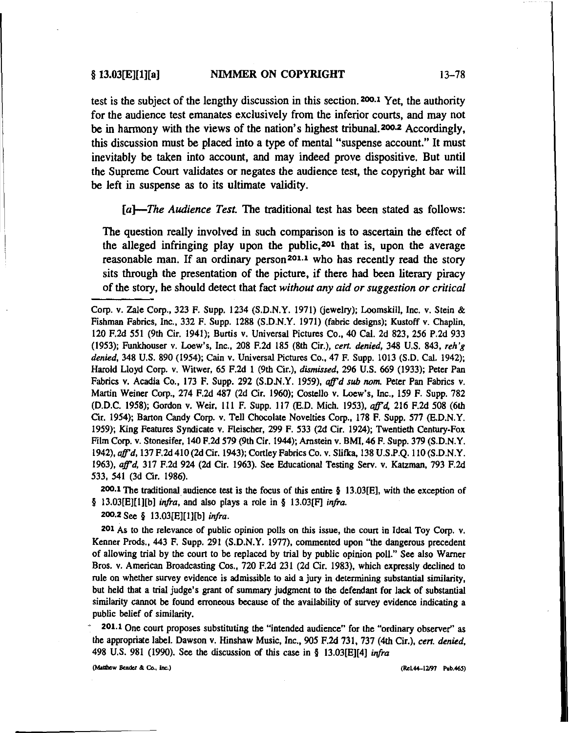test is the subject of the lengthy discussion in this section.200.1 Yet, the authority for the audience test emanates exclusively from the inferior courts, and may not be in harmony with the views of the nation's highest tribunal.200.2 Accordingly, this discussion must be placed into a type of mental "suspense account." It must inevitably be taken into account, and may indeed prove dispositive. But until the Supreme Court validates or negates the audience test, the copyright bar will be left in suspense as to its ultimate validity.

*[a}-The Audience Test.* The traditional test has been stated as follows:

The question really involved in such comparison is to ascertain the effect of the alleged infringing play upon the public,201 that is, upon the average reasonable man. If an ordinary person 201.1 who has recently read the story sits through the presentation of the picture, if there had been literary piracy of the story, he should detect that fact *without any aid or suggestion or critical*

200.1 The traditional audience test is the focus of this entire  $\S$  13.03[E], with the exception of § 13.03[E][1][b] *infra*, and also plays a role in § 13.03[F] *infra*.

200.2 See § 13.03[EJ[I]!b1 *infra.*

201 As to the relevance of public opinion polls on this issue, the court in Ideal Toy Corp. V. Kenner Prods., 443 F. Supp. 291 (S.D.N.Y. 1977), commented upon "the dangerous precedent of allowing trial by the court to be replaced by trial by public opinion poll." See also Warner Bros. V. American Broadcasting Cos., 720 F.2d 231 (2d Cir. 1983), which expressly declined to rule on whether survey evidence is admissible to aid a jury in determining substantial similarity, but held that a trial judge's grant of summary judgment to the defendant for lack of substantial similarity cannot be found erroneous because of the availability of survey evidence indicating a public belief of similarity.

201.1 One court proposes substituting the "intended audience" for the "ordinary observer" as the appropriate label. Dawson v. Hinshaw Music, Inc., 905 F.2d 731, 737 (4th Cir.), *cert. denied,* 498 U.S. 981 (1990). See the discussion of this case in § 13.03[E][4] infra

(Matthew Bender & Co., Inc.) (Rel.44-12/97 Pub.465)

Corp. v. Zale Corp., 323 F. Supp, 1234 (S.D.N.Y. 1971) (jewelry): Loomskill, Inc. v. Stein & Fishman Fabrics, Inc., 332 F. Supp. 1288 (S.D.N.Y. 1971) (fabric designs); Kustoff v. Chaplin, 120 F.2d 551 (9th Cir. 1941); Burtis *v,* Universal Pictures Co., 40 Cal. 2d 823, 256 P.2d 933 (1953); Funkhouser v. Loew's, Inc., 208 F.2d 185 (8th Cir.), *cert. denied,* 348 U.S. 843, *reb'g denied,* 348 U.S. 890 (1954); Cain v. Universal Pictures Co., 47 F. Supp. 1013 (S.D. Cal. 1942); Harold Lloyd Corp. v. Witwer, 65 F.2d I (9th Cir.), *dismissed,* 296 U.S. 669 (1933); Peter Pan Fabrics *v,* Acadia Co., 173 F. Supp. 292 (S.DN.Y. 1959), *affd sub nom.* Peter Pan Fabrics v, Martin Weiner Corp., 274 F.2d 487 (2d Cir. 1960); Costello v. Loew's, Inc., 159 F. Supp. 782 (D.D.C. 1958); Gordon *v,* Weir, III F. Supp. 117 (B.D. Mich. 1953), *affd.* 216 F.2d 508 (6th Cir. 1954); Barton Candy Corp. v. Tell Chocolate Novelties Corp., 178 F. Supp. 577 (B.D.N.Y. 1959); King Features Syndicate v. Fleischer, 299 F. 533 (2d Cir. 1924); Twentieth Century-Fox Film Corp. v. Stonesifer, 140 F.2d 579 (9th Cir. 1944); Arnstein v. BMI, 46 F. Supp. 379 (S.D.N.Y. *1942), affd,* 137 F.2d 410 (2d Cir. 1943); Cortley Fabrics Co. v. Slifka, 138 U.S.P.Q. 110 (S.D.N.Y. *1963), affd.* 317 F.2d 924 (2d Cir. 1963). See Educational Testing Servo *v,* Katzman. 793 F.2d 533, 541 (3d Cir. 1986).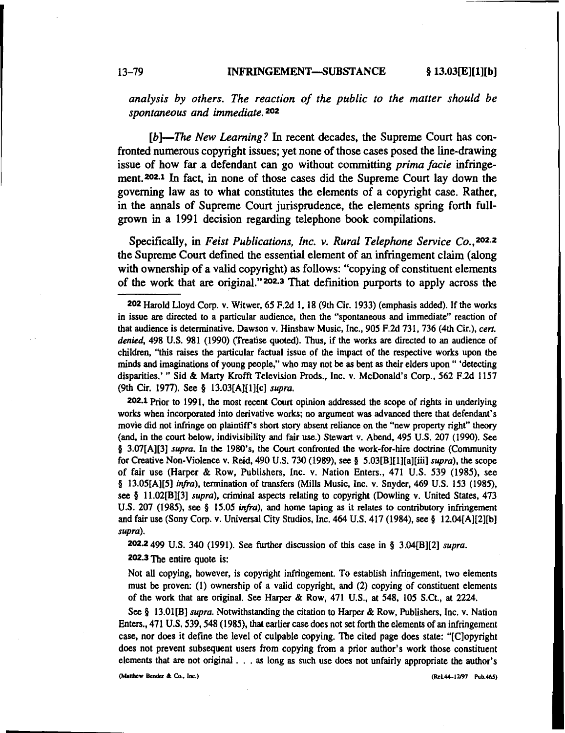#### 13-79 INFRINGEMENT-8UBSTANCE § 13.03[E][1][b]

*analysis by others. The reaction of the public to the matter should be spontaneous and immediate.* 202

*[b)-The New Learning?* In recent decades, the Supreme Court has confronted numerous copyright issues; yet none of those cases posed the line-drawing issue of how far .a defendant can go without committing *prima facie* infringement. 202.1 In fact, in none of those cases did the Supreme Court lay down the governing law as to what constitutes the elements of a copyright case. Rather, in the annals of Supreme Court jurisprudence, the elements spring forth fullgrown in a 1991 decision regarding telephone book compilations.

Specifically, in *Feist Publications. Inc. v. Rural Telephone Service Co.* ,202.2 the Supreme Court defined the essential element of an infringement claim (along with ownership of a valid copyright) as follows: "copying of constituent elements of the work that are original."202.3 That definition purports to apply across the

202.1 Prior to 1991, the most recent Court opinion addressed the scope of rights in underlying works when incorporated into derivative works; no argument was advanced there that defendant's movie did not infringe on plaintiffs short story absent reliance on the "new property right" theory (and, in the court below, indivisibility and fair use.) Stewart *v,* Abend, 495 U.S. 207 (1990). See § 3.07[A][3] *supra*. In the 1980's, the Court confronted the work-for-hire doctrine (Community for Creative Non-Violence v. Reid, 490 U.S. 730 (1989), see § 5.03[B][I][a][iii] *supra),* the scope of fair use (Harper & Row, Publishers, Inc. v. Nation Enters., 471 U.S. 539 (1985), see § 13.05[A][5] *infra).* termination of transfers (Mills Music, Inc. v. Snyder, 469 U.S. 153 (1985), see § 11.02[B][3] *supra),* criminal aspects relating to copyright (Dowling v. United States, 473 U.S. 207 (1985), see § 15.05 *infra),* and home taping as it relates to contributory infringement and fair use (Sony Corp. v. Universal City Studios, Inc. 464 U.S. 417 (1984), see § 12.04[A][2](b] *supra).*

202.2499 U.S. 340 (1991). See further discussion of this case in § 3.04[B][2] *supra.*

202.3The entire quote is:

Not all copying, however, is copyright infringement. To establish infringement, two elements must be proven: (I) ownership of a valid copyright, and (2) copying of constituent elements of the work that are original. See Harper & Row, 471 U.S., at 548, 105 S.Ct., at 2224.

See § 13.0I[B] *supra.* Notwithstanding the citation to Harper & Row, Publishers, Inc. *v,* Nation Enters., 471 U.S. 539, 548 (1985), that earlier case does not set forth the elements of an infringement case, nor does it define the level of culpable copying. The cited page does state: "[Clopyright does not prevent subsequent users from copying from a prior author's work those constituent elements that are not original. . . as long as such use does not unfairly appropriate the author's

**(Manhew Bender A** Co.• **Inc.) (ReL44-12N1 Pub.465)**

<sup>202</sup> Harold Lloyd Corp. v. Witwer, 65 F.2d I, 18 (9th Cir. 1933) (emphasis added). If the works in issue are directed to a particular audience, then the "spontaneous and immediate" reaction of that audience is determinative. Dawson *v,* Hinshaw Music, Inc., 905 F.2d 731. 736 (4th Cir.), *cert. denied,* 498 U.S. 981 (1990) (Treatise quoted). Thus, if the works are directed to an audience of children, "this raises the particular factual issue of the impact of the respective works upon the minds and imaginations of young people," who may not be as bent as their elders upon" 'detecting disparities.' " Sid & Marty Krofft Television Prods., Inc. v. McDonald's Corp., 562 F.2d 1157 (9th Cir. 1977). See § 13.03[A][I][c] *supra.*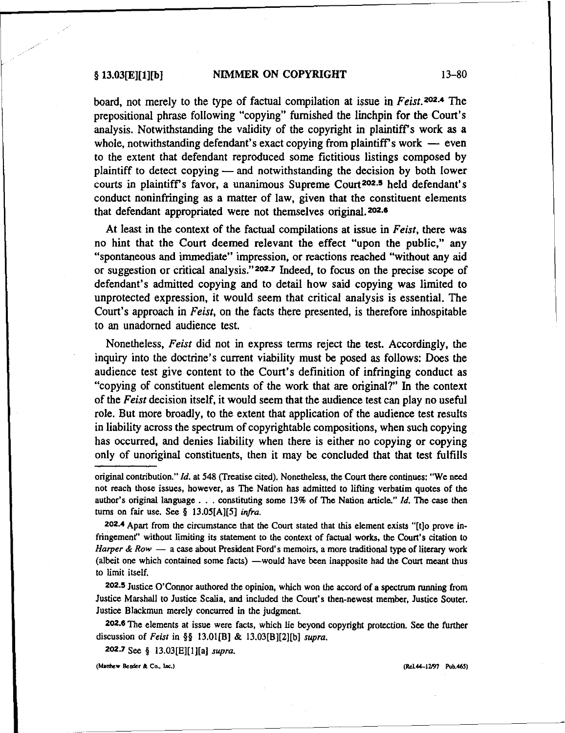board, not merely to the type of factual compilation at issue in *Feist.* 202.4 The prepositional phrase following "copying" furnished the linchpin for the Court's analysis. Notwithstanding the validity of the copyright in plaintiff's work as a whole, notwithstanding defendant's exact copying from plaintiff's work  $-$  even to the extent that defendant reproduced some fictitious listings composed by plaintiff to detect copying  $-$  and notwithstanding the decision by both lower courts in plaintiff's favor, a unanimous Supreme Court<sup>202.5</sup> held defendant's conduct noninfringing as a matter of law, given that the constituent elements that defendant appropriated were not themselves original.<sup>202.6</sup>

At least in the context of the factual compilations at issue in *Feist,* there was no hint that the Court deemed relevant the effect "upon the public," any "spontaneous and immediate" impression, or reactions reached "without any aid or suggestion or critical analysis." 202.7 Indeed, to focus on the precise scope of defendant's admitted copying and to detail how said copying was limited to unprotected expression, it would seem that critical analysis is essential. The Court's approach in *Feist,* on the facts there presented, is therefore inhospitable to an unadorned audience test.

Nonetheless, *Feist* did not in express terms reject the test. Accordingly, the inquiry into the doctrine's current viability must be posed as follows: Does the audience test give content to the Court's definition of infringing conduct as "copying of constituent elements of the work that are original?" In the context of the *Feist* decision itself, it would seem that the audience test can play no useful role. But more broadly, to the extent that application of the audience test results in liability across the spectrum of copyrightable compositions, when such copying has occurred, and denies liability when there is either no copying or copying only of unoriginal constituents, then it may be concluded that that test fulfills

202.4 Apart from the circumstance that the Court stated that this element exists "[t]o prove infringernent" without limiting its statement to the context of factual works, the Court's citation to *Harper* & *Row* - a case about President Ford's memoirs, a more traditional type of literary work (albeit one which contained some facts) —would have been inapposite had the Court meant thus to limit itself.

202.5 Justice O'Connor authored the opinion, which won the accord of a spectrum running from Justice Marshall to Justice Scalia, and included the Court's then-newest member, Justice Souter. Justice Blackmun merely concurred in the judgment.

202.6 The elements at issue were facts, which lie beyond copyright protection. See the further discussion of *Feist* in §§ 13.01[B) & 13.03[B][2][b) *supra.*

202.7 See § 13.03[E)[I][a) *supra.*

**(Mlnhew Bender &.**Co., lAc.) (R.L44-I2197 Pub.465)

original contribution," [d. at 548 (Treatise cited). Nonetheless, the Court there continues: "We need not reach those issues, however, as The Nation has admitted to lifting verbatim quotes of the author's original language ... constituting some 13% of The Nation article," *Id,* The case then turns on fair use. See § 13.05[A][5] *infra.*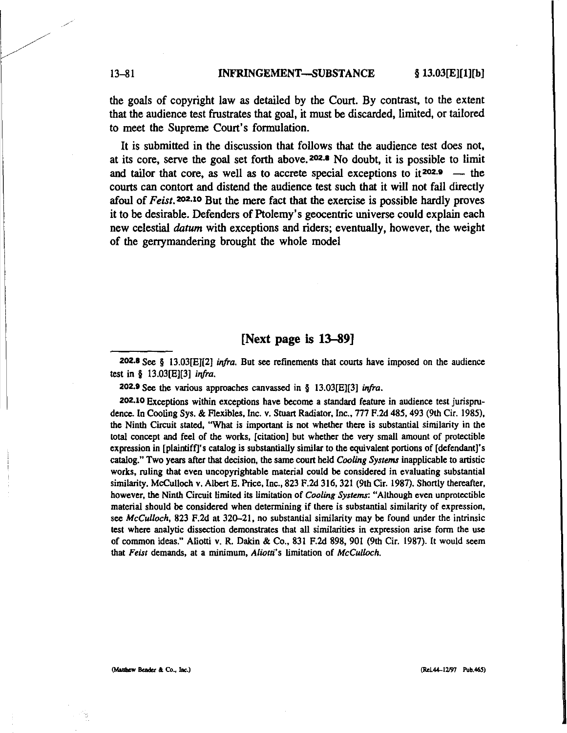the goals of copyright law as detailed by the Court. By contrast, to the extent that the audience test frustrates that goal, it must be discarded, limited, or tailored to meet the Supreme Court's formulation.

It is submitted in the discussion that follows that the audience test does not, at its core, serve the goal set forth above.<sup>202.8</sup> No doubt, it is possible to limit and tailor that core, as well as to accrete special exceptions to it<sup>202.9</sup> - the courts can contort and distend the audience test such that it will not fall directly afoul of *Feist.* 202.10 But the mere fact that the exercise is possible hardly proves it to be desirable. Defenders of Ptolemy's geocentric universe could explain each new celestial *datum* with exceptions and riders; eventually, however, the weight of the genymandering brought the whole model

# [Next page is 13-89]

202.8 See § 13.03[EJ[2] *infra.* But see refinements that courts have imposed on the audience test in § 13.03[EJ[3] *irifra.*

202.9 See the various approaches canvassed in § 13.03[E][3] *infra*.

202.10 Exceptions within exceptions have become a standard feature in audience test jurisprudence. In Cooling Sys. & Flexibles, Inc. *v.* Stuart Radiator, Inc., 777 F.2d 485, 493 (9th Cir. 1985), the Ninth Circuit stated. "What is important is not whether there is substantial similarity in the total concept and feel of the works. [citation] but whether the very small amount of proteetible expression in [plaintiff]'s catalog is substantially similar to the equivalent portions of [defendant]'s catalog." Two years after that decision, the same court held *Cooling Systems* inapplicable to artistic works, ruling that even uncopyrightable material could be considered in evaluating substantial similarity. McCulloch v. Albert E. Price, Inc., 823 F.2d 316, 321 (9th Cir, 1987). Shortly thereafter, however. the Ninth Circuit limited its limitation of *Cooling Systems:* "Although even unprotectible material should be considered when determining if there is substantial similarity of expression, see *McCulloch,* 823 F.2d at 320-21. no substantial similarity may be found under the intrinsic test where analytic dissection demonstrates that all similarities in expression arise form the use of common ideas." Aliotti v. R. Dakin & Co., 831 F.2d 898, 901 (9th Cir. 1987). It would seem that Feist demands, at a minimum, Aliotti's limitation of *McCulloch*.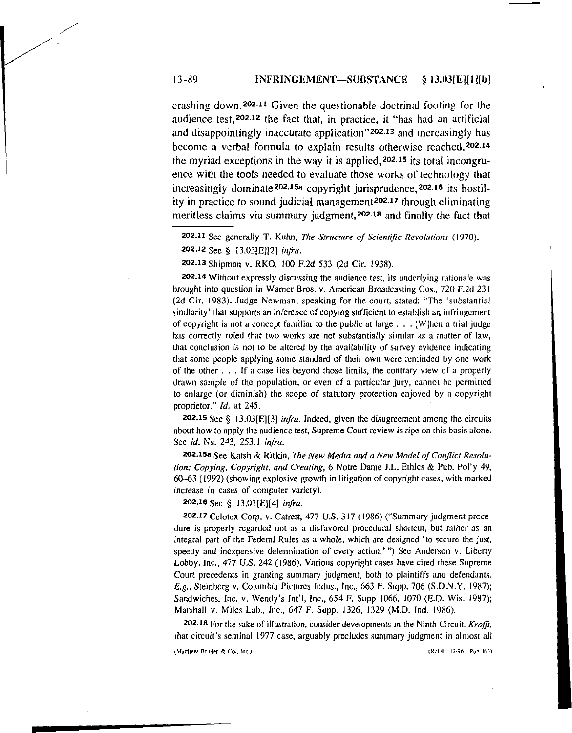crashing down. 202.11 Given the questionable doctrinal footing for the audience test,202.12 the fact that, in practice, it "has had an artificial and disappointingly inaccurate application"202.13 and increasingly has become a verbal formula to explain results otherwise reached, 202.14 the myriad exceptions in the way it is applied,202.15 its total incongruence with the tools needed to evaluate those works of technology that increasingly dominate<sup>202.15a</sup> copyright jurisprudence,<sup>202.16</sup> its hostility in practice to sound judicial management202.17 through eliminating meritless claims via summary judgment,202.18 and finally the fact that

202.13 Shipman v. RKO, 100 F.2d 533 (2d Cir. 1938).

202.14 Without expressly discussing the audience test, its underlying rationale was brought into question in Warner Bros. v. American Broadcasting Cos., 720 F.2d 231 (2d Cir, 1983). Judge Newman, speaking for the court, stated: 'The 'substantial similarity' that supports an inference of copying sufficient to establish an infringement of copyright is not a concept familiar to the public at large ... [W]hen <sup>a</sup> trial judge has correctly ruled that two works are not substantially similar as a matter of law, that conclusion is not to be altered by the availability of survey evidence indicating that some people applying some standard of their own were reminded by one work of the other ... If a case lies beyond those limits, the contrary view of a properly drawn sample of the population, or even of a particular jury, cannot be permitted to enlarge (or diminish) the scope of statutory protection enjoyed by a copyright proprietor." Id. at 245.

202.15 See § 13.03[E][3] *infra.* Indeed, given the disagreement among the circuits about how to apply the audience test, Supreme Court review is ripe on this basis alone. See *id.* Ns. 243, 253.1 *infra.*

202.15a See Katsh & Rifkin, The New Media and a New Model of Conflict Resolu*tion: Copying, Copyright. and Creating,* 6 Notre Dame J.L. Ethics & Pub. Pol'y 49, 60-63 (1992) (showing explosive growth in litigation of copyright cases, with marked increase **in** cases of computer variety).

#### 202.16 See § 13.03[E][4] *infra.*

202.17 Celotex Corp. v. Catrett, 477 U.S. 317 (1986) ("Summary judgment procedure is properly regarded not as a disfavored procedural shortcut, but rather as an integral part of the Federal Rules as a whole, which are designed' to secure the just, speedy and inexpensive determination of every action.' ") See Anderson v. Liberty Lobby, Inc., 477 U.S. 242 (1986). Various copyright cases have cited these Supreme Court precedents in granting summary judgment, both to plaintiffs and defendants. *Eig.,* Steinberg v. Columbia Pictures Indus., Inc., 663 F. Supp. 706 (S.D.N.Y. 1987); Sandwiches, Inc. v. Wendy's Int'I, Inc., 654 F. Supp 1066, 1070 (E.D. Wis. 1987); Marshall v. Miles Lab., Inc., 647 F. Supp. 1326, 1329 (M.D. Ind. 1986).

202.18 For the sake of illustration, consider developments in the Ninth Circuit. *Krafft,* that circuit's seminal 1977 case, arguably precludes summary judgment in almost all

(Matthew Bender & Co., Inc.) (Rel.41-12i96 Pub.465)

<sup>202.11</sup> See generally T. Kuhn, *The Structure of Scientific Revolutions* (1970).

<sup>202.12</sup> See § 13.03[E][21 *infra.*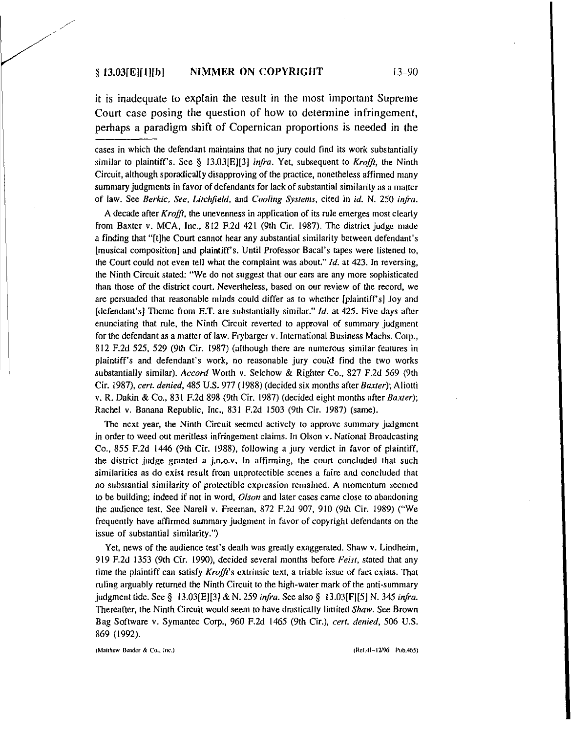it is inadequate to explain the result in the most important Supreme Court case posing the question of how to determine infringement, perhaps a paradigm shift of Copernican proportions is needed in the

cases in which the defendant maintains that no jury could find its work substantially similar to plaintiff's. See § 13.03[E][3] *infra.* Yet, subsequent to *Krofft,* the Ninth Circuit, although sporadically disapproving of the practice. nonetheless affirmed many summary judgments in favor of defendants for lack of substantial similarity as a matter of law. See *Berkic, See, Litchfield,* and *Cooling Systems,* cited in *id.* N. 250 *infra.*

A decade after *Krafft,* the unevenness in application of its rule emerges most clearly from Baxter *v.* MCA, Inc., 812 F.2d 421 (9th Cir. 1987). The district judge made a finding that "[t]he Court cannot hear any substantial similarity between defendant's [musical composition] and plaintiff's. Until Professor Baca!'s tapes were listened to, the Court could not even tell what the complaint was about."  $Id$ , at 423. In reversing, the Ninth Circuit stated: "We do not suggest that our ears are any more sophisticated than those of the district court. Nevertheless, based on our review of the record, we are persuaded that reasonable minds could differ as to whether [plaintiffs) Joy and [defendant's] Theme from E.T. are substantially similar."  $Id$ , at 425. Five days after enunciating that rule, the Ninth Circuit reverted to approval of summary judgment for the defendant as a matter of law. Frybarger v. International Business Machs. Corp., 812 F.2d 525, 529 (9th Cir. 1987) (although there are numerous similar features in plaintiff's and defendant's work, no reasonable jury could find the two works substantially similar). *Accord* Worth v. Selchow & Righter Co., 827 F.2d 569 (9th Cir. 1987), *cert. denied,* 485 U.S. 977 (1988) (decided six months after *Baxter);* Aliotti v. R. Dakin & Co., 831 F.2d 898 (9th Cir. 1987) (decided eight months after *Baxter);* Rachel v. Banana Republic, Inc., 831 F,2d 1503 (9th Cir. 1987) (same).

The next year, the Ninth Circuit seemed actively to approve summary judgment in order to weed out meritless infringement claims. In Olson v. National Broadcasting Co., 855 F.2d 1446 (9th Cir, 1988), following a jury verdict in favor of plaintiff, the district judge granted a j.n.o.v. In affirming, the court concluded that such similarities as do exist result from unprotectible scenes a faire and concluded that no substantial similarity of protectible expression remained. A momentum seemed to be building; indeed if not in word, *Olson* and later cases came close to abandoning the audience test. See Narell v. Freeman, 872 F.2d 907, 910 (9th Cir. 1989) ("We frequently have affirmed summary judgment in favor of copyright defendants on the issue of substantial similarity.")

Yet, news of the audience test's death was greatly exaggerated. Shaw *v,* Lindheim, 919 F.2d 1353 (9th Cir, 1990), decided several months before *Feist,* stated that any time the plaintiff can satisfy *Krafft's* extrinsic text, a triable issue of fact exists. That ruling arguably returned the Ninth Circuit to the high-water mark of the anti-summary judgment tide. See § 13.03[E][3] & N. 259 *infra.* See also § 13.03[F][5] N. 345 *infra.* Thereafter, the Ninth Circuit would seem to have drastically limited *Shaw.* See Brown Bag Software v. Syrnantec Corp., 960 F.2d 1465 (9th Cir.), *cert. denied,* 506 U.S. 869 (1992).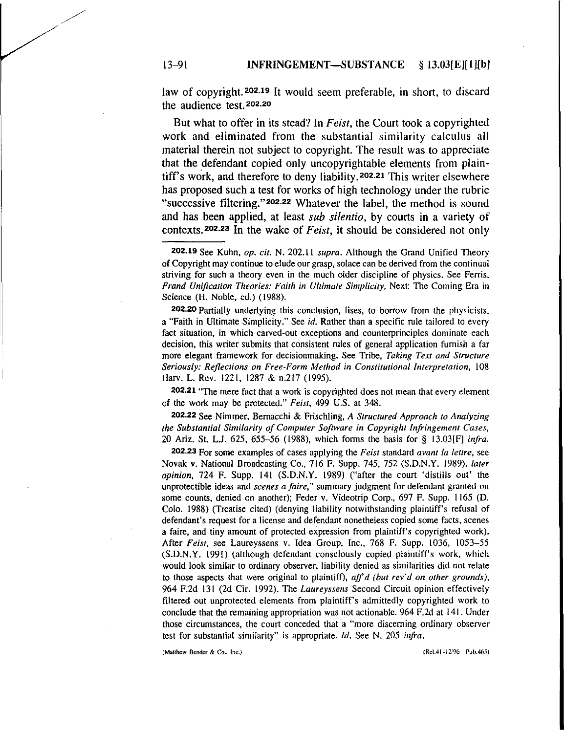law of copyright.202.19 It would seem preferable, in short, to discard the audience test. 202.20

But what to offer in its stead? In *Feist,* the Court took a copyrighted work and eliminated from the substantial similarity calculus all material therein not subject to copyright. The result was to appreciate that the defendant copied only uncopyrightable elements from plaintiff's work, and therefore to deny liability.202.21 This writer elsewhere has proposed such a test for works of high technology under the rubric "successive filtering."202.22 Whatever the label, the method is sound and has been applied, at least *sub silentio,* by courts in a variety of contexts.202.23 In the wake of *Feist,* it should be considered not only

202.20 Partially underlying this conclusion, lises, to borrow from the physicists. a "Faith in Ultimate Simplicity." See *id.* Rather than a specific rule tailored to every fact situation, in which carved-out exceptions and counterprinciples dominate each decision, this writer submits that consistent rules of general application furnish a far more elegant framework for decisionmaking. See Tribe, *Taking Text and Structure Seriously: Reflections on Free-Form Method in Constitutional Interpretation,* 108 Harv, L. Rev. 1221, [287 & n.217 (1995).

202.21 "The mere fact that a work is copyrighted does not mean that every element of the work may be protected." *Feist,* 499 U.S. at 348.

202.22 See Nimmer, Bernacchi & Frischling, A *Structured Approach to Analyzing the Substantial Similarity ofComputer Software in Copyright Infringement Cases,* 20 Ariz. SI. LJ. 625, 655-56 (1988), which forms the basis for § 13.03[F] *infra.*

202.23 For some examples of cases applying the *Feist* standard *avantla lettre,* see Novak *v,* National Broadcasting Co., 716 F. Supp. 745, 752 (S.D.N.Y. 1989), *later opinion,* 724 F. Supp. l4[ (S.D.N.Y. 1989) ("after the court 'distills out' the unprotectible ideas and *scenes a faire.'* summary judgment for defendant granted on some counts, denied on another); Feder v. Videotrip Corp., 697 F. Supp. 1165 (D. Colo. 1988) (Treatise cited) (denying liability notwithstanding plaintiff's refusal of defendant's request for a license and defendant nonetheless copied some facts, scenes a faire, and tiny amount of protected expression from plaintiff's copyrighted work). After *Feist,* see Laureyssens *v,* Idea Group, Inc., 768 F. Supp. 1036, 1053-55 (S.D.N.Y. 1991) (although defendant consciously copied plaintiff's work, which would look similar to ordinary observer, liability denied as similarities did not relate to those aspects that were original to plaintiff), *aff d (but rev'd on other grounds)*, 964 F.2d 131 (2d Cir. 1992). The *Laureyssens* Second Circuit opinion effectively filtered out unprotected elements from plaintiff's admittedly copyrighted work to conclude that the remaining appropriation was not actionable. 964 F.2d at 14l . Under those circumstances, the court conceded that a "more discerning ordinary observer test for substantial similarity" is appropriate. *Id.* See N. 205 *infra.*

(Matthew Bender & Co., lnc.)

<sup>202.19</sup> See Kuhn, *op. cit.* N. 202.11 *supra.* Although the Grand Unified Theory of Copyright may continue to elude our grasp, solace can be derived from the continual striving for such a theory even in the much older discipline of physics. See Ferris, *Frand Unification Theories: Faith in Ultimate Simplicity,* Next: The Coming Era in Science (H. Noble, ed.) (1988).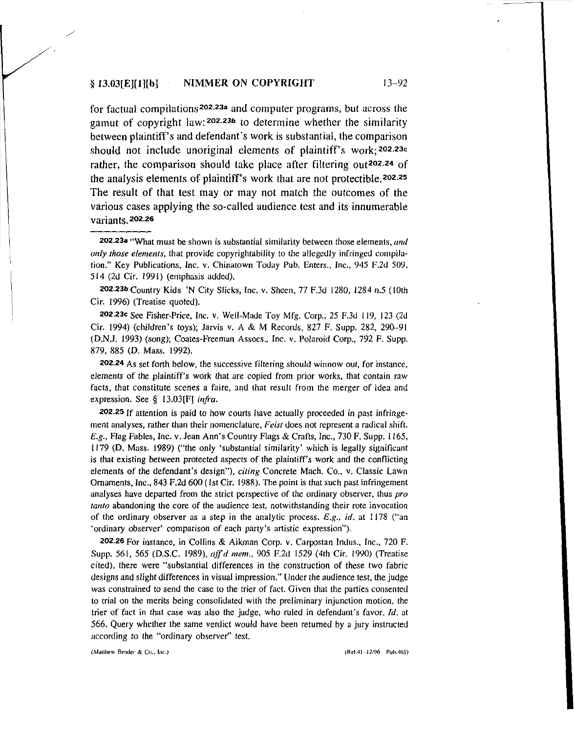#### $§ 13.03[E][1][b]$ NIMMER ON COPYRIGHT 13-92

for factual compilations202.23a and computer programs, but across the gamut of copyright law: 202.23b to determine whether the similarity between plaintiff's and defendant's work is substantial, the comparison should not include unoriginal elements of plaintiff's work;202.23c rather, the comparison should take place after filtering out<sup>202.24</sup> of the analysis elements of plaintiff's work that are not protectible.202.25 The result of that test may or may not match the outcomes of the various cases applying the so-called audience test and its innumerable variants. 202.26

202.23a "What must be shown is substantial similarity between those elements, *and anly those elements*, that provide copyrightability to the allegedly infringed compilation." Key Publications, Inc. v. Chinatown Today Pub. Enters., Inc., 945 F.2d 509, 514 (2d Cir. 1991) (emphasis added).

202.23b Country Kids 'N City Slicks, Inc. v. Sheen, 77 F.3d 1280, 1284 n.5 (10th Cir. 1996) (Treatise quoted).

202.23c See Fisher-Price, Inc. v. Well-Made Toy Mfg. Corp., 25 F.3d 119, 123 (2d Cir, 1994) (children's toys); Jarvis v. A & M Records, 827 F. Supp. 282, 290--91 (D.N.!. 1993) (song); Coates-Freeman Assocs.. Inc. v. Polaroid Corp., 792 F. Supp. 879, 885 (D. Mass. 1992).

202.24 As set forth below, the successive filtering should winnow out, for instance, elements of the plaintiff's work that are copied from prior works, that contain raw facts, that constitute scenes a faire, and that result from the merger of idea and expression. See § 13.03[F] *infra.*

202.25 If attention is paid to how courts have actually proceeded in past infringement analyses, rather than their nomenclature. *Feist* does not represent a radical shift. E.g., Flag Fables, Inc. v. Jean Ann's Country Flags & Crafts, Inc., 730 F. Supp. 1165, 1179 (D. Mass. 1989) ("the only 'substantial similarity' which is legally significant is that existing between protected aspects of the plaintiff's work and the conflicting elements of the defendant's design"), *citing* Concrete Mach. Co.. v. Classic Lawn Ornaments, Inc., 843 F.2d 600 (1st Cir. 1988). The point is that such past infringement analyses have departed from the strict perspective of the ordinary observer, thus pro *tanto* abandoning the core of the audience test, notwithstanding their rote invocation of the ordinary observer as a step in the analytic process.  $E.g., id.$  at 1178 ("an 'ordinary observer' comparison of each party's artistic expression").

202.26 For instance, in Collins & Aikman Corp. v. Carpostan Indus., Inc.. 720 F. Supp, 561, 565 (D.S.C. 1989), *affd mem.,* 905 F.2d 1529 (4th Cir. 1990) (Treatise cited), there were "substantial differences in the construction of these two fabric designs and slight differences in visual impression." Under the audience test, the judge was constrained to send the case to the trier of fact. Given that the parties consented to trial on the merits being consolidated with the preliminary injunction motion, the trier of fact in that case was also the judge, who ruled in defendant's favor.  $Id$ . at 566. Query whether the same verdict would have been returned by a jury instructed according to the "ordinary observer" test.

(Matthew Bender & Co., Inc.)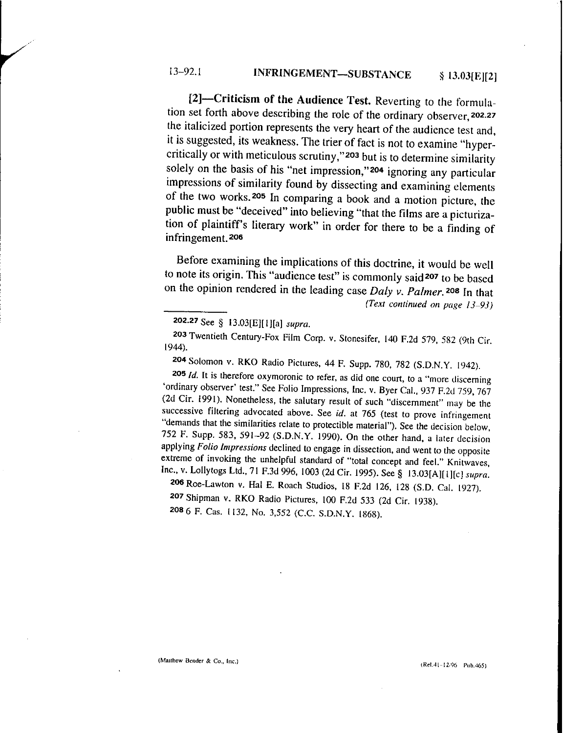[2]-Criticism of the Audience Test. Reverting to the formulation set forth above describing the role of the ordinary observer, 202.27 the italicized portion represents the very heart of the audience test and, it is suggested, its weakness. The trier of fact is not to examine "hypercritically or with meticulous scrutiny,"203 but is to determine similarity solely on the basis of his "net impression,"204 ignoring any particular impressions of similarity found by dissecting and examining elements of the two works. 205 In comparing a book and a motion picture, the public must be "deceived" into believing "that the films are a picturization of plaintiff's literary work" in order for there to be a finding of infringement. 206

Before examining the implications of this doctrine, it would be well to note its origin. This "audience test" is commonly said 207 to be based on the opinion rendered in the leading case *Daly v. Palmer.* 208 In that *(Text continued on page 13-93)*

204 Solomon v. RKO Radio Pictures, 44 F. Supp. 780, 782 (S.D.N.Y. 1942).

*2051d.* It is therefore oxymoronic to refer, as did one court, to a "more discerning 'ordinary observer' test." See Folio Impressions, Inc. v. Byer Cal., 937 F.2d 759, 767 (2d Cir. 1991). Nonetheless, the salutary result of such "discernment" may be the successive filtering advocated above. See *id.* at 765 (test to prove infringement "demands that the similarities relate to protectible material"). See the decision below, 752 F. Supp. 583, 591-92 (S.D.N.Y. (990). On the other hand, a later decision applying *Folio Impressions* declined to engage in dissection, and went to the opposite extreme of invoking the unhelpful standard of "total concept and feel." Knitwaves, Inc., v. Lollytogs Ltd., 71 F.3d 996,1003 (2d Cir. (995). See § 13.03[A][ll[c] *supra.*

206 Roe-Lawton v. Hal E. Roach Studios, 18 F.2d 126, 128 (S.D. Cal. (927). 207 Shipman v. RKO Radio Pictures, 100 F.2d 533 (2d Cir. (938). 208 6 F. Cas. 1132, No. 3,552 (C.C. S.D.N.Y. 1868).

(Matthew Bender & Co., Inc.) (Ret.41-12/96 Pub.465)

<sup>202.27</sup> See § 13.03[E][I][a] *supra.*

<sup>203</sup> Twentieth Century-Fox Film Corp. v. Stonesifer, 140 F.2d 579, 582 (9th Cir. (944).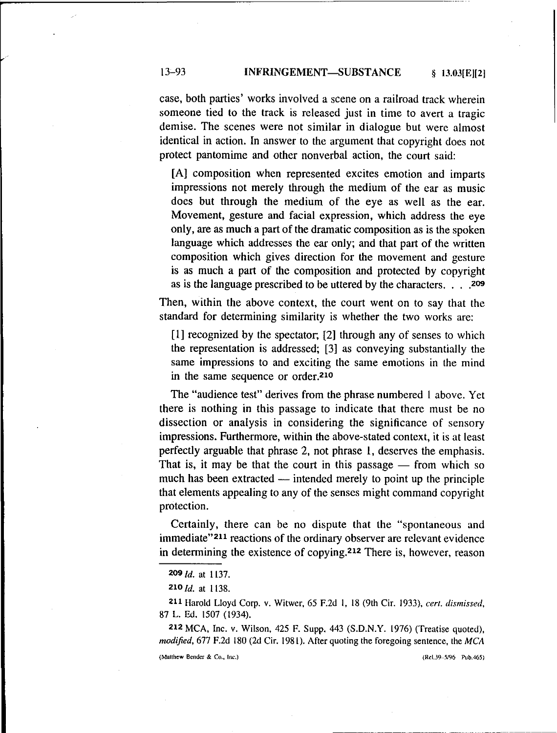# 13-93 **INFRINGEMENT-SUBSTANCE** § 13.03[E][2]

case, both parties' works involved a scene on a railroad track wherein someone tied to the track is released just in time to avert a tragic demise. The scenes were not similar in dialogue but were almost identical in action. In answer to the argument that copyright does not protect pantomime and other nonverbal action, the court said:

[A] composition when represented excites emotion and imparts impressions not merely through the medium of the ear as music does but through the medium of the eye as well as the ear. Movement, gesture and facial expression, which address the eye only, are as much a part of the dramatic composition as is the spoken language which addresses the ear only; and that part of the written composition which gives direction for the movement and gesture is as much a part of the composition and protected by copyright as is the language prescribed to be uttered by the characters. . . .209

Then, within the above context, the court went on to say that the standard for determining similarity is whether the two works are:

[I] recognized by the spectator, [2] through any of senses to which the representation is addressed; [3] as conveying substantially the same impressions to and exciting the same emotions in the mind in the same sequence or order.210

The "audience test" derives from the phrase numbered I above. Yet there is nothing in this passage to indicate that there must be no dissection or analysis in considering the significance of sensory impressions. Furthermore, within the above-stated context, it is at least perfectly arguable that phrase 2, not phrase I, deserves the emphasis. That is, it may be that the court in this passage  $-$  from which so much has been extracted — intended merely to point up the principle that elements appealing to any of the senses might command copyright protection.

Certainly, there can be no dispute that the "spontaneous and immediate"211 reactions of the ordinary observer are relevant evidence in determining the existence of copying.212 There is, however, reason

211 Harold Lloyd Corp. v. Witwer, 65 F.2d I. 18 (9th Cir. 1933), *cert. dismissed.* 87 L. Ed. 1507 (1934).

212 MCA, Inc. *v,* Wilson. 425 F. Supp. 443 (S.D.N.Y. 1976) (Treatise quoted), *modified*, 677 F.2d 180 (2d Cir. 1981). After quoting the foregoing sentence, the MCA

(Matthew Bender & Co., lnc.} (Re1.J9-5/96 Pub.465)

*<sup>209/</sup>d.* at 1137.

*<sup>210</sup>ld.* at 1138.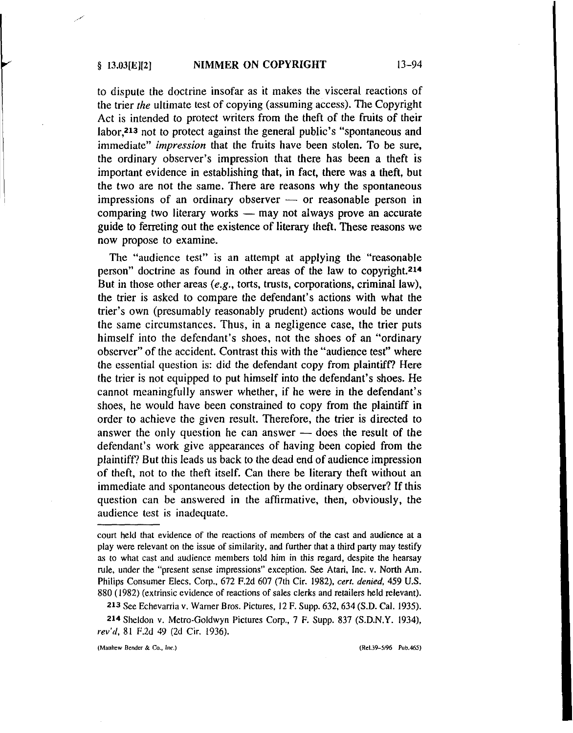to dispute the doctrine insofar as it makes the visceral reactions of the trier *the* ultimate test of copying (assuming access). The Copyright Act is intended to protect writers from the theft of the fruits of their labor,213 not to protect against the general public's "spontaneous and immediate" *impression* that the fruits have been stolen. To be sure, the ordinary observer's impression that there has been a theft is important evidence in establishing that, in fact, there was a theft, but the two are not the same. There are reasons why the spontaneous impressions of an ordinary observer  $-$  or reasonable person in comparing two literary works  $-$  may not always prove an accurate guide to ferreting out the existence of literary theft. These reasons we now propose to examine.

The "audience test" is an attempt at applying the "reasonable person" doctrine as found in other areas of the law to copyright.<sup>214</sup> But in those other areas *(e.g.,* torts, trusts, corporations, criminal law), the trier is asked to compare the defendant's actions with what the trier's own (presumably reasonably prudent) actions would be under the same circumstances. Thus, in a negligence case, the trier puts himself into the defendant's shoes, not the shoes of an "ordinary observer" of the accident. Contrast this with the "audience test" where the essential question is: did the defendant copy from plaintiff? Here the trier is not equipped to put himself into the defendant's shoes. He cannot meaningfully answer whether, if he were in the defendant's shoes, he would have been constrained to copy from the plaintiff in order to achieve the given result. Therefore, the trier is directed to answer the only question he can answer  $-$  does the result of the defendant's work give appearances of having been copied from the plaintiff? But this leads us back to the dead end of audience impression of theft, not to the theft itself. Can there be literary theft without an immediate and spontaneous detection by the ordinary observer? If this question can be answered in the affirmative, then, obviously, the audience test is inadequate.

213 See Echevarria v.Warner Bros. Pictures. 12 F. Supp. 632, 634 (S.D. Cal. 1935).

214 Sheldon v. Metro-Goldwyn Pictures Corp., 7 F. Supp, 837 (S.D.N.Y. 1934), *rev'd*, 81 F.2d 49 (2d Cir. 1936).

(Mauhew Bender & Co., Inc.) (Rel.39-5/96 Pub.465)

court held that evidence of the reactions of members of the cast and audience at a play were relevant on the issue of similarity, and further that a third party may testify as to what cast and audience members told him in this regard, despite the hearsay rule. under the "present sense impressions" exception. See Atari, Inc. v. North Am. Philips Consumer Elecs. Corp., 672 F.2d 607 (7th Cir. 1982). *cert. denied,* 459 U.S. 880 (1982) (extrinsic evidence of reactions of sales clerks and retailers held relevant).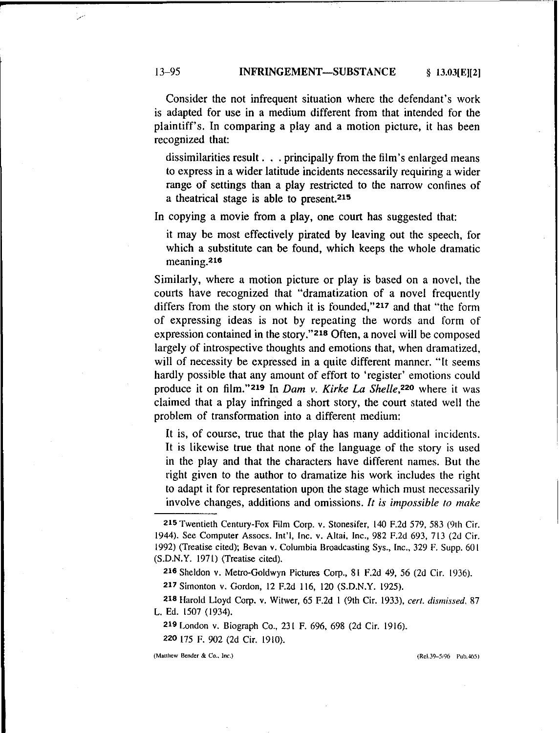### 13-95 INFRINGEMENT-SUBSTANCE § 13.03[E][2)

Consider the not infrequent situation where the defendant's work is adapted for use in a medium different from that intended for the plaintiff's. In comparing a play and a motion picture, it has been recognized that:

dissimilarities result ... principally from the film's enlarged means to express in a wider latitude incidents necessarily requiring a wider range of settings than a play restricted to the narrow confines of a theatrical stage is able to present.21S

In copying a movie from a play, one court has suggested that:

it may be most effectively pirated by leaving out the speech, for which a substitute can be found, which keeps the whole dramatic meaning.216

Similarly, where a motion picture or play is based on a novel, the courts have recognized that "dramatization of a novel frequently differs from the story on which it is founded,"217 and that "the form of expressing ideas is not by repeating the words and form of expression contained in the story."218 Often, a novel will be composed largely of introspective thoughts and emotions that, when dramatized, will of necessity be expressed in a quite different manner. "It seems hardly possible that any amount of effort to 'register' emotions could produce it on film."219 In *Dam v. Kirke La Shelle,22o* where it was claimed that a play infringed a short story, the court stated well the problem of transformation into a different medium:

It is, of course, true that the play has many additional incidents. It is likewise true that none of the language of the story is used in the play and that the characters have different names. But the right given to the author to dramatize his work includes the right to adapt it for representation upon the stage which must necessarily involve changes, additions and omissions. *It is impossible to make*

(Matthew Bender & Co., Inc.) (Rel.39-5i96 Pub.465)

**p**

<sup>21</sup>S Twentieth Century-Fox Film Corp. v. Stonesifer. 140 F.2d 579. 583 (9th Cir. 1944). See Computer Assocs. Int'I, Inc. V. Altai. Inc.. 982 F.2d 693, 713 (2d Cir. 1992) (Treatise cited); Bevan *v:* Columbia Broadcasting Sys., Inc.. 329 F. Supp. 601 (S.D.N.Y. 1971) (Treatise cited).

<sup>216</sup> Sheldon v. Metro-Goldwyn Pictures Corp., 81 F.2d 49, 56 (2d Cir. 1936).

<sup>217</sup> Simonton v. Gordon, 12 F.2d 116, 120 (S.D.N.Y. 1925).

<sup>218</sup> Harold Lloyd Corp. V. Witwer, 65 F.2d I (9th Cir. 1933), *cert. dismissed. 87* L. Ed. 1507 (1934).

<sup>219</sup> London V. Biograph Co., 231 F. 696, 698 (2d Cir. 1916).

<sup>220</sup> t75 F. 902 (2d Cir. 1910).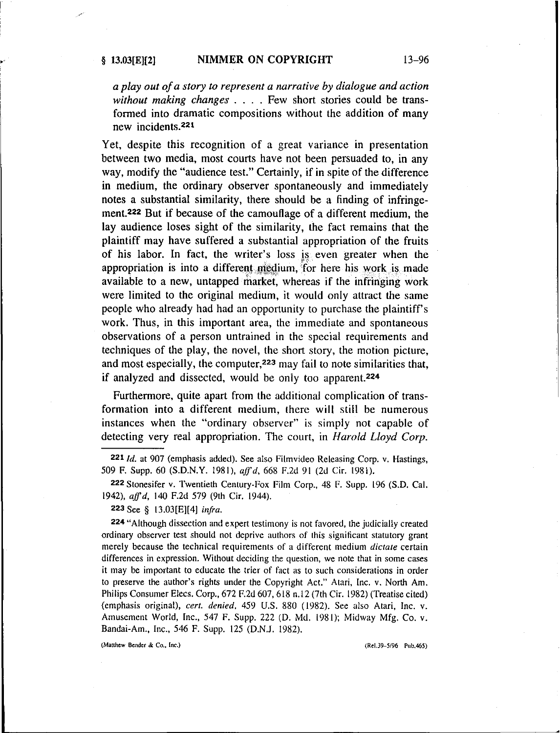I

## § 13.03[E][2] NIMMER ON COPYRIGHT 13-96

*a play out ofa story to represent a narrative by dialogue and action without making changes* . . . . Few short stories could be transformed into dramatic compositions without the addition of many new incidents.<sup>221</sup>

Yet, despite this recognition of a great variance in presentation between two media, most courts have not been persuaded to, in any way, modify the "audience test." Certainly, if in spite of the difference in medium, the ordinary observer spontaneously and immediately notes a substantial similarity, there should be a finding of infringement.222 But if because of the camouflage of a different medium, the lay audience loses sight of the similarity, the fact remains that the plaintiff may have suffered a substantial appropriation of the fruits of his labor. In fact, the writer's loss is even greater when the appropriation is into a different medium, for here his work is made available to a new, untapped market, whereas if the infringing work were limited to the original medium, it would only attract the same people who already had had an opportunity to purchase the plaintiff's work. Thus, in this important area, the immediate and spontaneous observations of a person untrained in the special requirements and techniques of the play, the novel, the short story, the motion picture, and most especially, the computer,223 may fail to note similarities that, if analyzed and dissected, would be only too apparent.224

Furthermore, quite apart from the additional complication of transformation into a different medium, there will still be numerous instances when the "ordinary observer" is simply not capable of detecting very real appropriation. The court, in *Harold Lloyd Corp.*

224 "Although dissection and expert testimony is not favored, the judicially created ordinary observer test should not deprive authors of this significant statutory grant merely because the technical requirements of a different medium *dictate* certain differences in expression. Without deciding the question, we note that in some cases it may be important to educate the trier of fact as to such considerations in order to preserve the author's rights under the Copyright Act." Atari, Inc. v. North Am. Philips Consumer Elecs. Corp., 672 F.2d 607, 618 n.12 (7th Cir. 1982) (Treatise cited) (emphasis original), *cert. denied.* 459 U.S. 880 (1982). See also Atari, Inc. v. Amusement World, Inc., 547 F. Supp. 222 (D. Md. 1981); Midway Mfg. Co. v. Bandai-Am., Inc., 546 F. Supp. 125 (D.N.J. 1982).

(Matthew Bender& Co.. lnc.) (ReJ.39-5/96 Pub,465)

*<sup>2211</sup>d.* at 907 (emphasis added). See also Filmvideo Releasing Corp. *v.* Hastings, 509 F. Supp. 60 (S.D.N.Y. 1981), *aff'* d. 668 F.2d 91 (2d Cir. 1981).

<sup>222</sup> Stonesifer v. Twentieth Century-Fox Film Corp., 48 F. Supp. 196 (S.D. Cal. *1942), aJfd,* 140 F.2d 579 (9th Cir. 1944).

<sup>223</sup> See § 13.03[E][4] *infra.*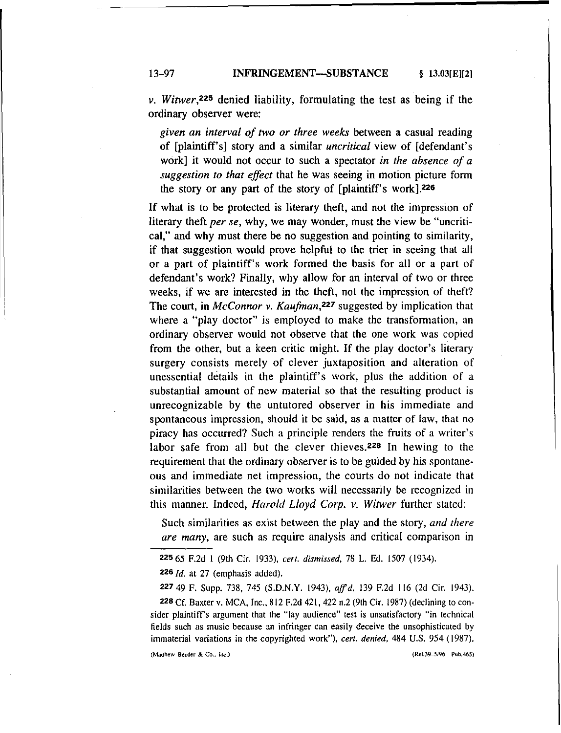13-97 **INFRINGEMENT-SUBSTANCE** § 13.03[E][2]

*v. Witwer,225* denied liability, formulating the test as being if the ordinary observer were:

*given an interval of two or three weeks* between a casual reading of [plaintiff's] story and a similar *uncritical* view of [defendant's work] it would not occur to such a spectator *in the absence of a suggestion to that effect* that he was seeing in motion picture form the story or any part of the story of [plaintiff's work].226

If what is to be protected is literary theft, and not the impression of literary theft *per se,* why, we may wonder, must the view be "uncritical," and why must there be no suggestion and pointing to similarity, if that suggestion would prove helpful to the trier in seeing that all or a part of plaintiff's work formed the basis for all or a part of defendant's work? Finally, why allow for an interval of two or three weeks, if we are interested in the theft, not the impression of theft? The court, in *McConnor v. Kaufman,227* suggested by implication that where a "play doctor" is employed to make the transformation, an ordinary observer would not observe that the one work was copied from the other, but a keen critic might. If the play doctor's literary surgery consists merely of clever juxtaposition and alteration of unessential details in the plaintiff's work, plus the addition of a substantial amount of new material so that the resulting product is unrecognizable by the untutored observer in his immediate and spontaneous impression, should it be said, as a matter of law, that no piracy has occurred? Such a principle renders the fruits of a writer's labor safe from all but the clever thieves.<sup>228</sup> In hewing to the requirement that the ordinary observer is to be guided by his spontaneous and immediate net impression, the courts do not indicate that similarities between the two works will necessarily be recognized in this manner. Indeed, *Harold Lloyd Corp.* v, *Witwer* further stated:

Such similarities as exist between the play and the story, *and there are many,* are such as require analysis and critical comparison in

*2261d.* at 27 (emphasis added).

227 49 F. Supp, 738, 745 (S.D.N.Y. (943), *aff'*d, 139 F.2d 116 (2d Cir. (943).

(Matthew **Bender** & Co.. lnc.) (ReJ.39-5/96 pub.465)

<sup>225</sup> 65 F.2d I (9th Cir. (933), *cert. dismissed.* 78 L. Ed. 1507 (1934).

<sup>228</sup> Cf. Baxter v. MCA, Inc., 812 F.2d 421, 422 n.2 (9th Cir. 1987) (declining to consider plaintiff's argument that the "lay audience" test is unsatisfactory "in technical fields such as music because an infringer can easily deceive the unsophisticated by immaterial variations in the copyrighted work"), *cert. denied.* 484 U.S. 954 (1987).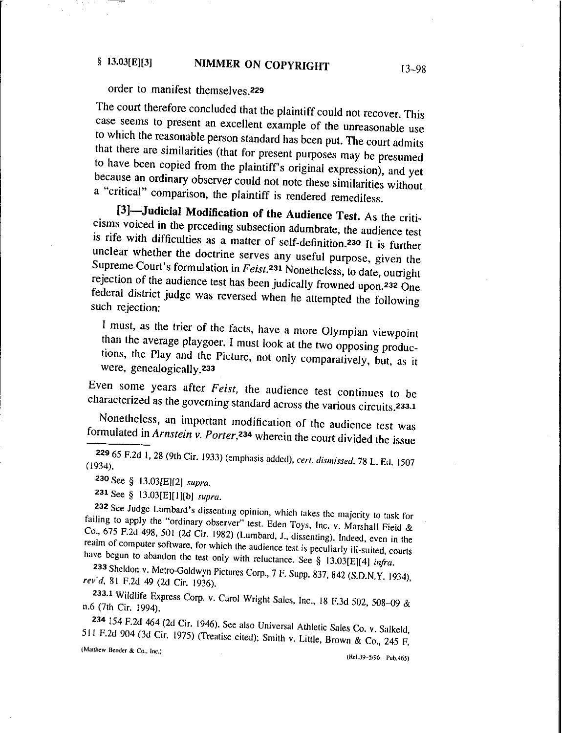# § 13.03[E][3] NIMMER ON COPYRIGHT 13-98

# order to manifest themselves.229

The court therefore concluded that the plaintiff could not recover. This case seems to present an excellent example of the unreasonable use to which the reasonable person standard has been put. The court admits that there are similarities (that for present purposes may be presumed to have been copied from the plaintiff's original expression), and yet because an ordinary observer could not note these similarities without a "critical" comparison, the plaintiff is rendered remediless.

[3]-Judicial Modification of the Audience Test. As the criticisms voiced in the preceding subsection adumbrate, the audience test is rife with difficulties as a matter of self-definition.<sup>230</sup> It is further unclear whether the doctrine serves any useful purpose, given the Supreme Court's formulation in *Feist*.<sup>231</sup> Nonetheless, to date, outright rejection of the audience test has been judically frowned upon.232 One federal district judge was reversed when he attempted the following such rejection:

I must, as the trier of the facts, have a more Olympian viewpoint than the average playgoer. I must look at the two opposing productions, the Play and the Picture, not only comparatively, but, as it were, genealogically.233

Even some years after *Feist,* the audience test continues to be characterized as the governing standard across the various circuits.233.1

Nonetheless, an important modification of the audience test was formulated in *Arnstein v. Porter*,<sup>234</sup> wherein the court divided the issue

<sup>229</sup> 65 F.2d 1,28 (9th Cir. 1933) (emphasis added), *cert, dismissed,* 78 L. Ed. 1507 (1934).

230 See § 13.03[E][2) *supra.*

231 See § 13.03[E][I][b] *supra.*

232 See Judge Lumbard's dissenting opinion, which takes the majority to task for failing to apply the "ordinary observer" test. Eden Toys, Inc. v. Marshall Field & Co., 675 F.2d 498, 501 (2d Cir. 1982) (Lumbard, J.. dissenting). Indeed, even in the realm of computer software. for which the audience test is peculiarly ill-suited, courts have begun to abandon the test only with reluctance. See § 13.03[EJ[4] *infra.*

233 Sheldon V. Metro-Goldwyn Pictures Corp., 7 F. Supp. 837, 842 (S.D.N.Y. (934), *revd,* 81 F.2d 49 (2d Cir. 1936).

233.1 Wildlife Express Corp. v. Carol Wright Sales, Inc., 18 F.3d 502, 508-09 & n.6 (7th Cir. 1994).

234 154 F.2d 464 (2d Cir. (946). See also Universal Athletic Sales Co. v. Salkeld, 511 F.2d 904 (3d Cir. 1975) (Treatise cited); Smith v. Little, Brown & Co., 245 F.

{Matthew Bender & Co.. Inc.)

(RcI.J9-5J96 Pub.465)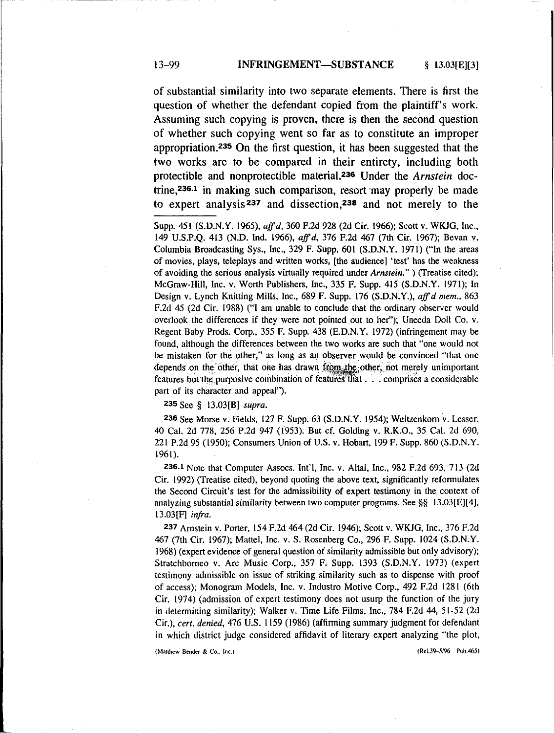### 13-99 INFRINGEMENT-SUBSTANCE § 13.031E1131

of substantial similarity into two separate elements. There is first the question of whether the defendant copied from the plaintiff's work. Assuming such copying is proven, there is then the second question of whether such copying went so far as to constitute an improper appropriation.<sup>235</sup> On the first question, it has been suggested that the two works are to be compared in their entirety, including both protectible and nonprotectible material.236 Under the *Arnstein* doctrine,236.1 in making such comparison, resort may properly be made to expert analysis 237 and dissection,23B and not merely to the

Supp, 451 (S.D.N.Y. 1965), *aJfd,* 360 F.2d 928 (2d Cir. 1966); Scott v. WKJG, Inc., 149 U.S.P.Q. 413 (N.D. Ind. 1966), *aJfd,* 376 F.2d 467 (7th Cir. 1967); Bevan *v;* Columbia Broadcasting Sys., Inc., 329 F. Supp. 601 (S.D.N.Y. 1971) ("In the areas of movies, plays, teleplays and written works, [the audience] 'test' has the weakness of avoiding the serious analysis virtually required under *Arnstein."* ) (Treatise cited); McGraw-Hili, Inc. *v;* Worth Publishers, Inc., 335 F. Supp. 415 (S.D.N.Y. 1971); In Design v. Lynch Knitting Mills, Inc., 689 F. Supp, 176 (S.D.N.Y.), *aJfd mem.. 863* F.2d 45 (2d Cir. 1988) ("I am unable to conclude that the ordinary observer would overlook the differences if they were not pointed out to her"); Uneeda Doll Co. v. Regent Baby Prods. Corp., 355 F. Supp. 438 (E.D.N.Y. 1972) (infringement may be found, although the differences between the two works are such that "one would not be mistaken for the other," as long as an observer would be convinced "that one depends on the other, that one has drawn from the other, not merely unimportant features but the purposive combination of features that  $\ldots$  comprises a considerable part of its character and appeal").

235 See § 13.03[B] *supra.*

236 See Morse v. Fields, 127 F. Supp. 63 (S.D.N.Y. 1954); Weitzenkom v. Lesser, 40 Cal. 2d 778, 256 P.2d 947 (1953). But cf. Golding *v,* R.K.O., 35 Cal. 2d 690, 221 P.2d 95 (1950); Consumers Union of U.S. v. Hobart, 199 F. Supp. 860 (S.D.N.Y. 1961).

236.1 Note that Computer Assocs. In!'I, Inc. *v,* Altai, Inc., 982 F.2d 693, 713 (2d Cir, 1992) (Treatise cited), beyond quoting the above text, significantly reformulates the Second Circuit's test for the admissibility of expert testimony in the context of analyzing substantial similarity between two computer programs. See  $\S$ § 13.03[E][4], 13.03[F] *infra.*

237 Arnstein v. Porter, 154 F.2d 464 (2d Cir, 1946); Scott *v,* WKJG, Inc., 376 F.2d 467 (7th Cir, 1967); Mattei, Inc, *v,* S, Rosenberg Co., 296 F. Supp. 1024 (S.D.N.Y. 1968)(expert evidence of general question of similarity admissible but only advisory); Stratchborneo *v*. Arc Music Corp., 357 F. Supp. 1393 (S.D.N.Y. 1973) (expert testimony admissible on issue of striking similarity such as to dispense with proof of access); Monogram Models, Inc. v. Industro Motive Corp., 492 F.2d 1281 (6th Cir. 1974) (admission of expert testimony does not usurp the function of the jury in determining similarity); Walker *v,* Time Life Films, Inc., 784 F.2d 44, 51-52 (2d Cir.), *cert. denied,* 476 U.S. 1159 (1986) (affirming summary judgment for defendant in which district judge considered affidavit of literary expert analyzing "the plot,

{Matthew Bender & Co., lnc.) (Re1.39-5/96 Pub.465)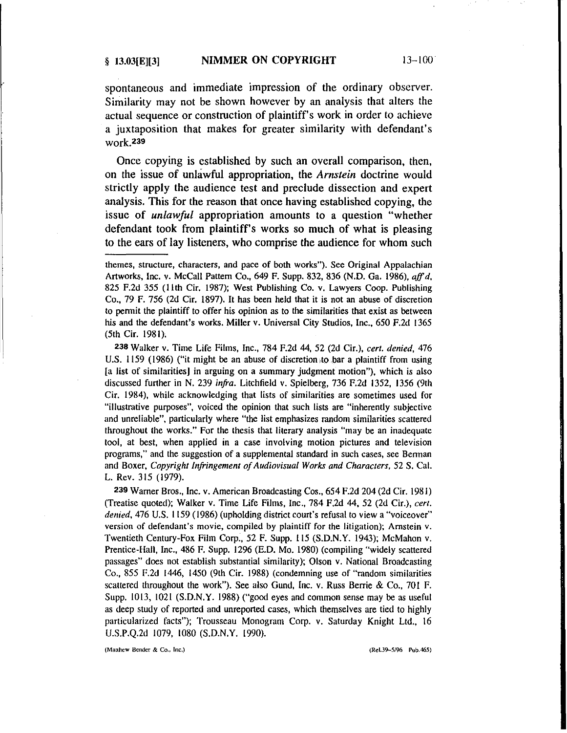spontaneous and immediate impression of the ordinary observer. Similarity may not be shown however by an analysis that alters the actual sequence or construction of plaintiff's work in order to achieve a juxtaposition that makes for greater similarity with defendant's work.<sup>239</sup>

Once copying is established by such an overall comparison, then, on the issue of unlawful appropriation, the *Arnstein* doctrine would strictly apply the audience test and preclude dissection and expert analysis. This for the reason that once having established copying, the issue of *unlawful* appropriation amounts to a question "whether defendant took from plaintiff's works so much of what is pleasing to the ears of lay listeners, who comprise the audience for whom such

238 Walker v. Time Life Films, Inc., 784 F.2d 44, 52 (2d Cir.), *cert. denied, 476* U.S. 1159 (1986) ("it might be an abuse of discretion to bar a plaintiff from using [a list of similarities] in arguing on a summary judgment motion"), which is also discussed further in N. 239 *infra.* Litchfield v. Spielberg, 736 F.2d 1352, 1356 (9th Cir. 1984), while acknowledging that lists of similarities are sometimes used for "illustrative purposes", voiced the opinion that such lists are "inherently subjective and unreliable", particularly where "the list emphasizes random similarities scattered throughout the works." For the thesis that literary analysis "may be an inadequate tool, at best, when applied in a case involving motion pictures and television programs," and the suggestion of a supplemental standard in such cases, see Berman and Boxer, *Copyright Infringement ofAudiovisual Works and Characters,* 52 S. Cal. L. Rev. 315 (1979).

239 Warner Bros., Inc. *v:*American Broadcasting Cos., 654 F.2d 204 (2d Cir. 1981) (Treatise quoted); Walker *v,* Time Life Films, Inc., 784 F.2d 44, 52 (2d Cir.), *cert, denied,* 476 U.S. 1159 (1986) (upholding district court's refusal to view a "voiceover" version of defendant's movie, compiled by plaintiff for the litigation); Arnstein v. Twentieth Century-Fox Film Corp., 52 F. Supp. 115 (S.D.N.Y. 1943); McMahon v. Prentice-Han, Inc., 486 F. Supp. 1296 (E.D. Mo. 1980) (compiling "widely scattered passages" does not establish substantial similarity); Olson v. National Broadcasting Co., 855 F.2d 1446, 1450 (9th Cir. 1988) (condemning use of "random similarities scattered throughout the work"). See also Gund, Inc. v. Russ Berrie & Co., 701 F. Supp. 1013, 1021 (S.D.N.Y. 1988) ("good eyes and common sense may be as useful as deep study of reported and unreported cases, which themselves are tied to highly particularized facts"); Trousseau Monogram Corp. v. Saturday Knight Ltd., 16 U.S.P.Q.2d 1079, 1080 (S.D.N.Y. 1990).

(Mauhew Bender & Co., lnc.) (ReI.39-5/96 Pob.465)

themes, structure, characters, and pace of both works"). See Original Appalachian Artworks, Inc. v. McCall Pattern Co., 649 F. Supp. 832, 836 (N.D. Ga. 1986). *aff d.* 825 F.2d 355 (11th Cir. 1987); West PUblishing Co. *v;* Lawyers Coop. Publishing Co., 79 F. 756 (2d Cir. 1897). It has been held that it is not an abuse of discretion to permit the plaintiff to offer his opinion as to the similarities that exist as between his and the defendant's works. Miller v. Universal City Studios, Inc., 650 F.2d 1365 (5th Cir. 1981),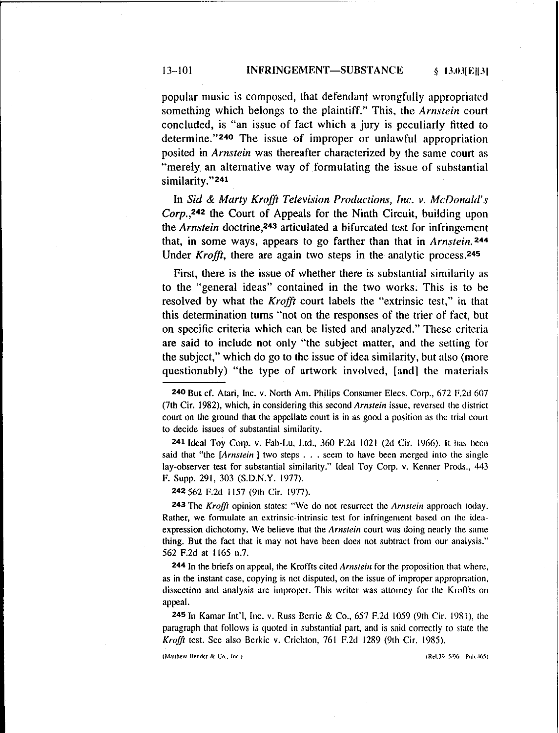#### 13-101 **INFRINGEMENT-SUBSTANCE** § 13.03[E][3]

popular music is composed, that defendant wrongfully appropriated something which belongs to the plaintiff." This, the *Arnstein* court concluded, is "an issue of fact which a jury is peculiarly fitted to determine."240 The issue of improper or unlawful appropriation posited in *Arnstein* was thereafter characterized by the same court as "merely. an alternative way of formulating the issue of substantial similarity." 241

In *Sid* & *Marty Krafft Television Productions, Inc. v. McDonald's Corp.,242* the Court of Appeals for the Ninth Circuit, building upon the *Arnstein* doctrine,243 articulated a bifurcated test for infringement that, in some ways, appears to go farther than that in *Arnstein.* 244 Under *Krofft,* there are again two steps in the analytic process.245

First, there is the issue of whether there is substantial similarity as to the "general ideas" contained in the two works. This is to be resolved by what the *Krofft* court labels the "extrinsic test," in that this determination turns "not on the responses of the trier of fact, but on specific criteria which can be listed and analyzed." These criteria are said to include not only "the subject matter, and the setting for the subject," which do go to the issue of idea similarity, but also (more questionably) "the type of artwork involved, [and) the materials

241 Ideal Toy Corp. *v,* Fab-Lu, Ltd., 360 F.2d 1021 (2d Cir. 1966). It has been said that "the *[Arnstein)* two steps ... seem to have been merged into the single lay-observer test for substantial similarity." Ideal Toy Corp. v. Kenner Prods., 443 F. Supp. 291, 303 (S.D.N.Y. 1977).

242 562 F.2d 1157 (9th Cir. 1977).

243 The *Krofft* opinion states: "We do not resurrect the *Arnstein* approach today. **Rather, we** formulate **an** extrinsic-intrinsic **test for infringement based on the idea**expression dichotomy. We believe that the *Arnstein* court was doing nearly the same thing. But the fact that it may not have been does not subtract from our analysis." 562 F.2d at 1165 n.7.

244 In the briefs on appeal, the Kroffts cited *Arnstein* for the proposition that where, as in the instant case, copying is not disputed, on the issue of improper appropriation. dissection and analysis are improper. This writer was attorney for the Kroffts on appeal.

245 In Kamar Int'l, Inc. v. Russ Berrie & Co., 657 F.2d 1059 (9th Cir, 1981), the paragraph that follows is quoted in substantial part, and is said correctly to state the *Krafft* test. See also Berkie v. Crichton, 761 F.2d 1289 (9th Cir. 1985).

(Matthew Bender & Co., Inc.)  $(Rel.39 - 5/96 - Pub.465)$ 

------------------------------

<sup>240</sup> But ef. Atari, Inc. v. North Am. Philips Consumer Elees. Corp., 672 F.2d 607 (7th Cir. 1982), which, in considering this second *Arnstein* issue, reversed the district court on the ground that the appellate court is in as good a position as the trial court to decide issues of substantial similarity.